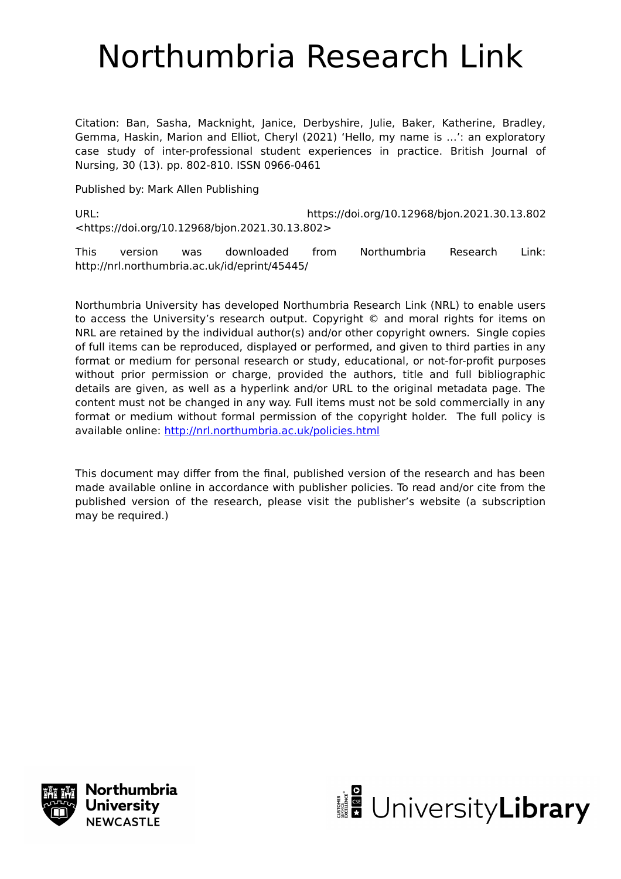# Northumbria Research Link

Citation: Ban, Sasha, Macknight, Janice, Derbyshire, Julie, Baker, Katherine, Bradley, Gemma, Haskin, Marion and Elliot, Cheryl (2021) 'Hello, my name is …': an exploratory case study of inter-professional student experiences in practice. British Journal of Nursing, 30 (13). pp. 802-810. ISSN 0966-0461

Published by: Mark Allen Publishing

URL: https://doi.org/10.12968/bjon.2021.30.13.802 <https://doi.org/10.12968/bjon.2021.30.13.802>

This version was downloaded from Northumbria Research Link: http://nrl.northumbria.ac.uk/id/eprint/45445/

Northumbria University has developed Northumbria Research Link (NRL) to enable users to access the University's research output. Copyright © and moral rights for items on NRL are retained by the individual author(s) and/or other copyright owners. Single copies of full items can be reproduced, displayed or performed, and given to third parties in any format or medium for personal research or study, educational, or not-for-profit purposes without prior permission or charge, provided the authors, title and full bibliographic details are given, as well as a hyperlink and/or URL to the original metadata page. The content must not be changed in any way. Full items must not be sold commercially in any format or medium without formal permission of the copyright holder. The full policy is available online:<http://nrl.northumbria.ac.uk/policies.html>

This document may differ from the final, published version of the research and has been made available online in accordance with publisher policies. To read and/or cite from the published version of the research, please visit the publisher's website (a subscription may be required.)



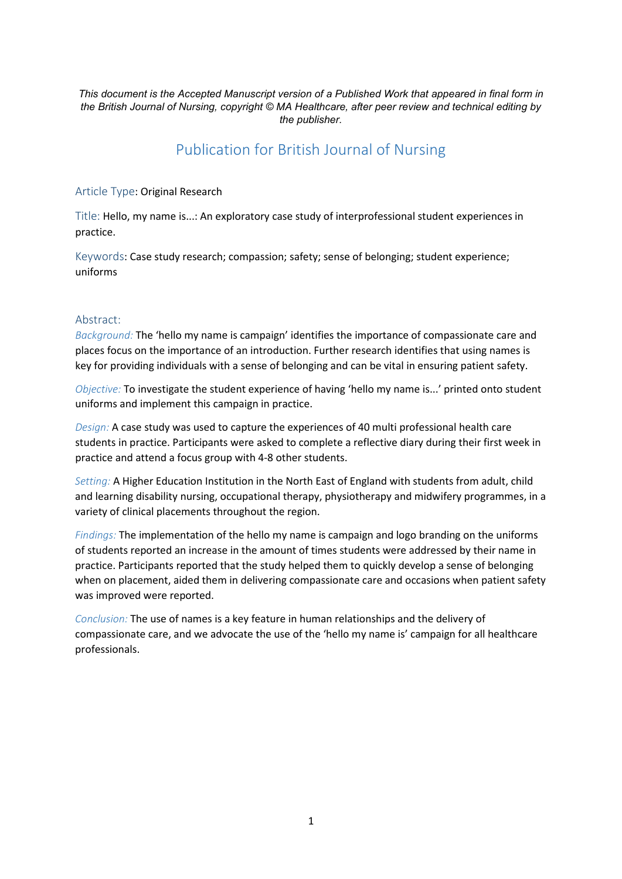*This document is the Accepted Manuscript version of a Published Work that appeared in final form in the British Journal of Nursing, copyright © MA Healthcare, after peer review and technical editing by the publisher.*

## Publication for British Journal of Nursing

Article Type: Original Research

Title: Hello, my name is...: An exploratory case study of interprofessional student experiences in practice.

Keywords: Case study research; compassion; safety; sense of belonging; student experience; uniforms

#### Abstract:

*Background:* The 'hello my name is campaign' identifies the importance of compassionate care and places focus on the importance of an introduction. Further research identifies that using names is key for providing individuals with a sense of belonging and can be vital in ensuring patient safety.

*Objective:* To investigate the student experience of having 'hello my name is...' printed onto student uniforms and implement this campaign in practice.

*Design:* A case study was used to capture the experiences of 40 multi professional health care students in practice. Participants were asked to complete a reflective diary during their first week in practice and attend a focus group with 4-8 other students.

*Setting:* A Higher Education Institution in the North East of England with students from adult, child and learning disability nursing, occupational therapy, physiotherapy and midwifery programmes, in a variety of clinical placements throughout the region.

*Findings:* The implementation of the hello my name is campaign and logo branding on the uniforms of students reported an increase in the amount of times students were addressed by their name in practice. Participants reported that the study helped them to quickly develop a sense of belonging when on placement, aided them in delivering compassionate care and occasions when patient safety was improved were reported.

*Conclusion:* The use of names is a key feature in human relationships and the delivery of compassionate care, and we advocate the use of the 'hello my name is' campaign for all healthcare professionals.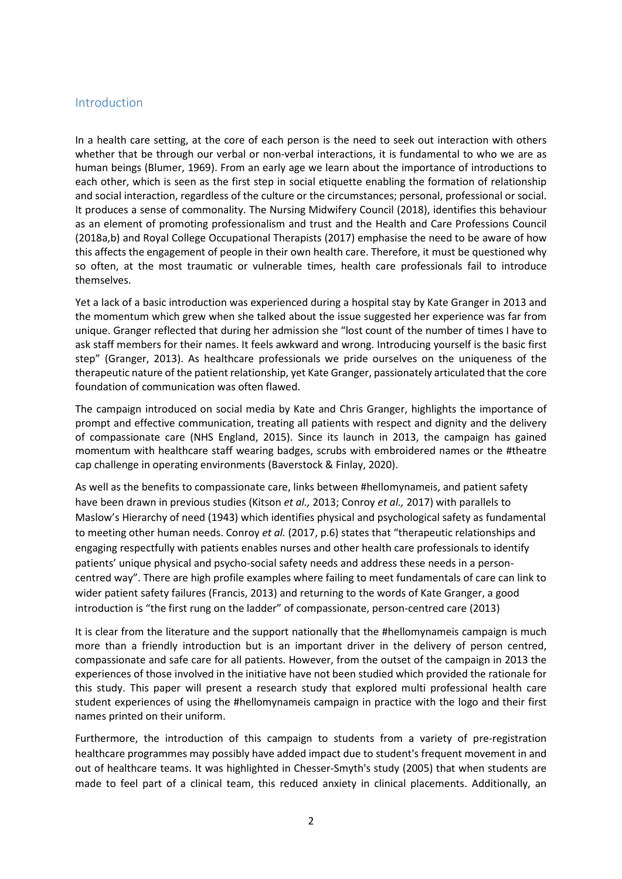## Introduction

In a health care setting, at the core of each person is the need to seek out interaction with others whether that be through our verbal or non-verbal interactions, it is fundamental to who we are as human beings (Blumer, 1969). From an early age we learn about the importance of introductions to each other, which is seen as the first step in social etiquette enabling the formation of relationship and social interaction, regardless of the culture or the circumstances; personal, professional or social. It produces a sense of commonality. The Nursing Midwifery Council (2018), identifies this behaviour as an element of promoting professionalism and trust and the Health and Care Professions Council (2018a,b) and Royal College Occupational Therapists (2017) emphasise the need to be aware of how this affects the engagement of people in their own health care. Therefore, it must be questioned why so often, at the most traumatic or vulnerable times, health care professionals fail to introduce themselves.

Yet a lack of a basic introduction was experienced during a hospital stay by Kate Granger in 2013 and the momentum which grew when she talked about the issue suggested her experience was far from unique. Granger reflected that during her admission she "lost count of the number of times I have to ask staff members for their names. It feels awkward and wrong. Introducing yourself is the basic first step" (Granger, 2013). As healthcare professionals we pride ourselves on the uniqueness of the therapeutic nature of the patient relationship, yet Kate Granger, passionately articulated that the core foundation of communication was often flawed.

The campaign introduced on social media by Kate and Chris Granger, highlights the importance of prompt and effective communication, treating all patients with respect and dignity and the delivery of compassionate care (NHS England, 2015). Since its launch in 2013, the campaign has gained momentum with healthcare staff wearing badges, scrubs with embroidered names or the #theatre cap challenge in operating environments (Baverstock & Finlay, 2020).

As well as the benefits to compassionate care, links between #hellomynameis, and patient safety have been drawn in previous studies (Kitson *et al.,* 2013; Conroy *et al.,* 2017) with parallels to Maslow's Hierarchy of need (1943) which identifies physical and psychological safety as fundamental to meeting other human needs. Conroy *et al.* (2017, p.6) states that "therapeutic relationships and engaging respectfully with patients enables nurses and other health care professionals to identify patients' unique physical and psycho-social safety needs and address these needs in a personcentred way". There are high profile examples where failing to meet fundamentals of care can link to wider patient safety failures (Francis, 2013) and returning to the words of Kate Granger, a good introduction is "the first rung on the ladder" of compassionate, person-centred care (2013)

It is clear from the literature and the support nationally that the #hellomynameis campaign is much more than a friendly introduction but is an important driver in the delivery of person centred, compassionate and safe care for all patients. However, from the outset of the campaign in 2013 the experiences of those involved in the initiative have not been studied which provided the rationale for this study. This paper will present a research study that explored multi professional health care student experiences of using the #hellomynameis campaign in practice with the logo and their first names printed on their uniform.

Furthermore, the introduction of this campaign to students from a variety of pre-registration healthcare programmes may possibly have added impact due to student's frequent movement in and out of healthcare teams. It was highlighted in Chesser-Smyth's study (2005) that when students are made to feel part of a clinical team, this reduced anxiety in clinical placements. Additionally, an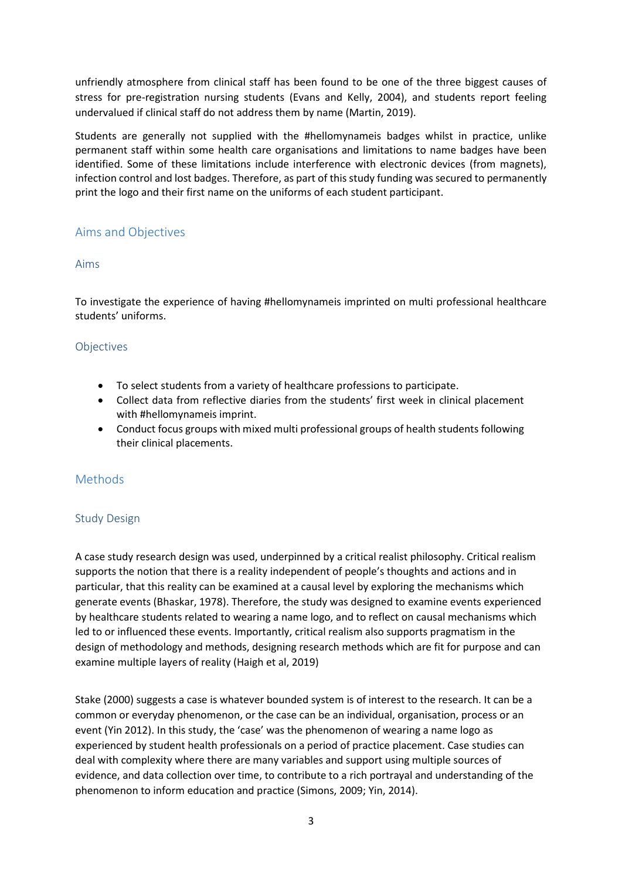unfriendly atmosphere from clinical staff has been found to be one of the three biggest causes of stress for pre-registration nursing students (Evans and Kelly, 2004), and students report feeling undervalued if clinical staff do not address them by name (Martin, 2019).

Students are generally not supplied with the #hellomynameis badges whilst in practice, unlike permanent staff within some health care organisations and limitations to name badges have been identified. Some of these limitations include interference with electronic devices (from magnets), infection control and lost badges. Therefore, as part of this study funding was secured to permanently print the logo and their first name on the uniforms of each student participant.

## Aims and Objectives

## Aims

To investigate the experience of having #hellomynameis imprinted on multi professional healthcare students' uniforms.

## **Objectives**

- To select students from a variety of healthcare professions to participate.
- Collect data from reflective diaries from the students' first week in clinical placement with #hellomynameis imprint.
- Conduct focus groups with mixed multi professional groups of health students following their clinical placements.

## Methods

## Study Design

A case study research design was used, underpinned by a critical realist philosophy. Critical realism supports the notion that there is a reality independent of people's thoughts and actions and in particular, that this reality can be examined at a causal level by exploring the mechanisms which generate events (Bhaskar, 1978). Therefore, the study was designed to examine events experienced by healthcare students related to wearing a name logo, and to reflect on causal mechanisms which led to or influenced these events. Importantly, critical realism also supports pragmatism in the design of methodology and methods, designing research methods which are fit for purpose and can examine multiple layers of reality (Haigh et al, 2019)

Stake (2000) suggests a case is whatever bounded system is of interest to the research. It can be a common or everyday phenomenon, or the case can be an individual, organisation, process or an event (Yin 2012). In this study, the 'case' was the phenomenon of wearing a name logo as experienced by student health professionals on a period of practice placement. Case studies can deal with complexity where there are many variables and support using multiple sources of evidence, and data collection over time, to contribute to a rich portrayal and understanding of the phenomenon to inform education and practice (Simons, 2009; Yin, 2014).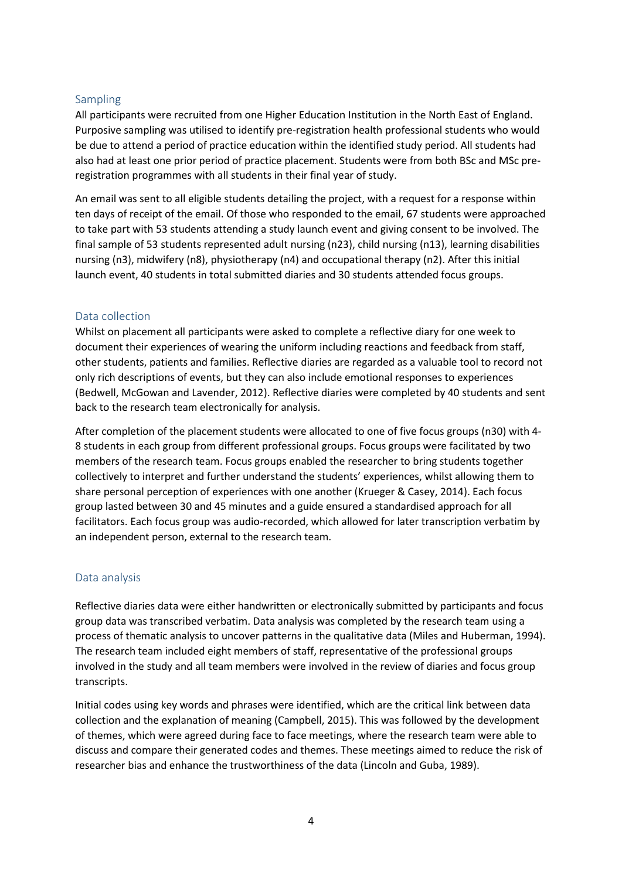## Sampling

All participants were recruited from one Higher Education Institution in the North East of England. Purposive sampling was utilised to identify pre-registration health professional students who would be due to attend a period of practice education within the identified study period. All students had also had at least one prior period of practice placement. Students were from both BSc and MSc preregistration programmes with all students in their final year of study.

An email was sent to all eligible students detailing the project, with a request for a response within ten days of receipt of the email. Of those who responded to the email, 67 students were approached to take part with 53 students attending a study launch event and giving consent to be involved. The final sample of 53 students represented adult nursing (n23), child nursing (n13), learning disabilities nursing (n3), midwifery (n8), physiotherapy (n4) and occupational therapy (n2). After this initial launch event, 40 students in total submitted diaries and 30 students attended focus groups.

#### Data collection

Whilst on placement all participants were asked to complete a reflective diary for one week to document their experiences of wearing the uniform including reactions and feedback from staff, other students, patients and families. Reflective diaries are regarded as a valuable tool to record not only rich descriptions of events, but they can also include emotional responses to experiences (Bedwell, McGowan and Lavender, 2012). Reflective diaries were completed by 40 students and sent back to the research team electronically for analysis.

After completion of the placement students were allocated to one of five focus groups (n30) with 4- 8 students in each group from different professional groups. Focus groups were facilitated by two members of the research team. Focus groups enabled the researcher to bring students together collectively to interpret and further understand the students' experiences, whilst allowing them to share personal perception of experiences with one another (Krueger & Casey, 2014). Each focus group lasted between 30 and 45 minutes and a guide ensured a standardised approach for all facilitators. Each focus group was audio-recorded, which allowed for later transcription verbatim by an independent person, external to the research team.

## Data analysis

Reflective diaries data were either handwritten or electronically submitted by participants and focus group data was transcribed verbatim. Data analysis was completed by the research team using a process of thematic analysis to uncover patterns in the qualitative data (Miles and Huberman, 1994). The research team included eight members of staff, representative of the professional groups involved in the study and all team members were involved in the review of diaries and focus group transcripts.

Initial codes using key words and phrases were identified, which are the critical link between data collection and the explanation of meaning (Campbell, 2015). This was followed by the development of themes, which were agreed during face to face meetings, where the research team were able to discuss and compare their generated codes and themes. These meetings aimed to reduce the risk of researcher bias and enhance the trustworthiness of the data (Lincoln and Guba, 1989).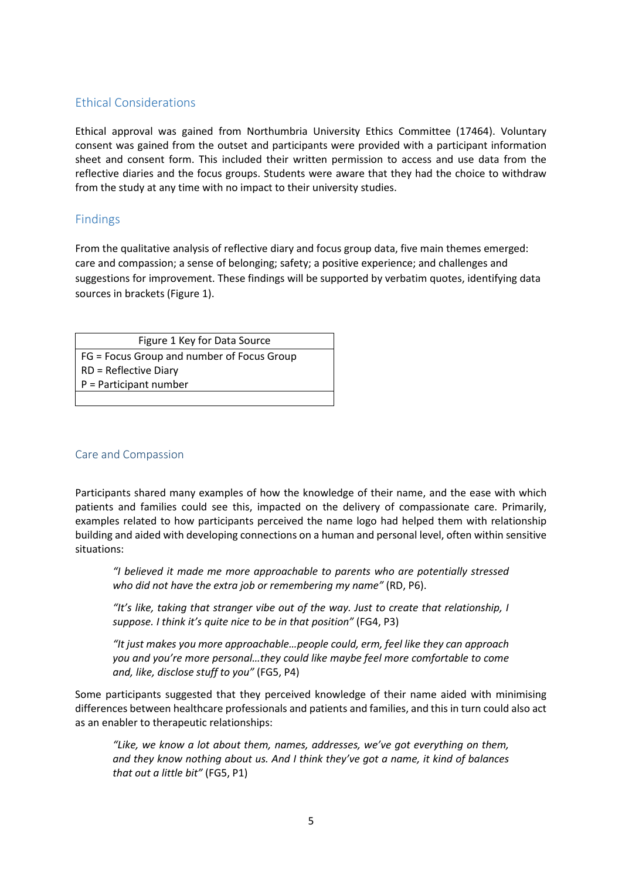## Ethical Considerations

Ethical approval was gained from Northumbria University Ethics Committee (17464). Voluntary consent was gained from the outset and participants were provided with a participant information sheet and consent form. This included their written permission to access and use data from the reflective diaries and the focus groups. Students were aware that they had the choice to withdraw from the study at any time with no impact to their university studies.

## Findings

From the qualitative analysis of reflective diary and focus group data, five main themes emerged: care and compassion; a sense of belonging; safety; a positive experience; and challenges and suggestions for improvement. These findings will be supported by verbatim quotes, identifying data sources in brackets (Figure 1).

Figure 1 Key for Data Source FG = Focus Group and number of Focus Group RD = Reflective Diary P = Participant number

## Care and Compassion

Participants shared many examples of how the knowledge of their name, and the ease with which patients and families could see this, impacted on the delivery of compassionate care. Primarily, examples related to how participants perceived the name logo had helped them with relationship building and aided with developing connections on a human and personal level, often within sensitive situations:

*"I believed it made me more approachable to parents who are potentially stressed who did not have the extra job or remembering my name"* (RD, P6).

*"It's like, taking that stranger vibe out of the way. Just to create that relationship, I suppose. I think it's quite nice to be in that position"* (FG4, P3)

*"It just makes you more approachable…people could, erm, feel like they can approach you and you're more personal…they could like maybe feel more comfortable to come and, like, disclose stuff to you"* (FG5, P4)

Some participants suggested that they perceived knowledge of their name aided with minimising differences between healthcare professionals and patients and families, and this in turn could also act as an enabler to therapeutic relationships:

*"Like, we know a lot about them, names, addresses, we've got everything on them, and they know nothing about us. And I think they've got a name, it kind of balances that out a little bit"* (FG5, P1)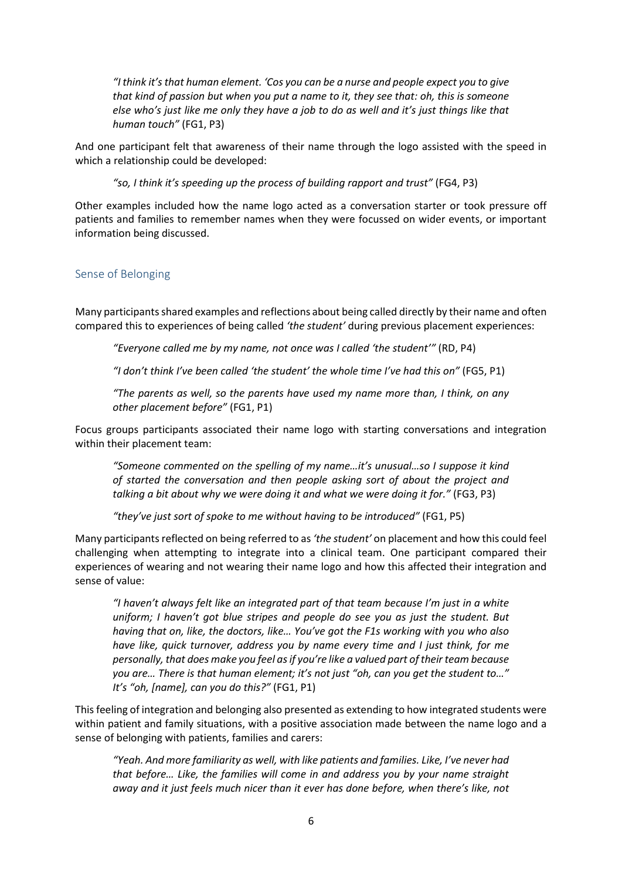*"I think it's that human element. 'Cos you can be a nurse and people expect you to give that kind of passion but when you put a name to it, they see that: oh, this is someone else who's just like me only they have a job to do as well and it's just things like that human touch"* (FG1, P3)

And one participant felt that awareness of their name through the logo assisted with the speed in which a relationship could be developed:

*"so, I think it's speeding up the process of building rapport and trust"* (FG4, P3)

Other examples included how the name logo acted as a conversation starter or took pressure off patients and families to remember names when they were focussed on wider events, or important information being discussed.

#### Sense of Belonging

Many participants shared examples and reflections about being called directly by their name and often compared this to experiences of being called *'the student'* during previous placement experiences:

*"Everyone called me by my name, not once was I called 'the student'"* (RD, P4)

*"I don't think I've been called 'the student' the whole time I've had this on"* (FG5, P1)

*"The parents as well, so the parents have used my name more than, I think, on any other placement before"* (FG1, P1)

Focus groups participants associated their name logo with starting conversations and integration within their placement team:

*"Someone commented on the spelling of my name…it's unusual…so I suppose it kind of started the conversation and then people asking sort of about the project and talking a bit about why we were doing it and what we were doing it for."* (FG3, P3)

*"they've just sort of spoke to me without having to be introduced"* (FG1, P5)

Many participants reflected on being referred to as *'the student'* on placement and how this could feel challenging when attempting to integrate into a clinical team. One participant compared their experiences of wearing and not wearing their name logo and how this affected their integration and sense of value:

*"I haven't always felt like an integrated part of that team because I'm just in a white uniform; I haven't got blue stripes and people do see you as just the student. But having that on, like, the doctors, like… You've got the F1s working with you who also have like, quick turnover, address you by name every time and I just think, for me personally, that does make you feel as if you're like a valued part of their team because you are… There is that human element; it's not just "oh, can you get the student to…" It's "oh, [name], can you do this?"* (FG1, P1)

This feeling of integration and belonging also presented as extending to how integrated students were within patient and family situations, with a positive association made between the name logo and a sense of belonging with patients, families and carers:

*"Yeah. And more familiarity as well, with like patients and families. Like, I've never had that before… Like, the families will come in and address you by your name straight away and it just feels much nicer than it ever has done before, when there's like, not*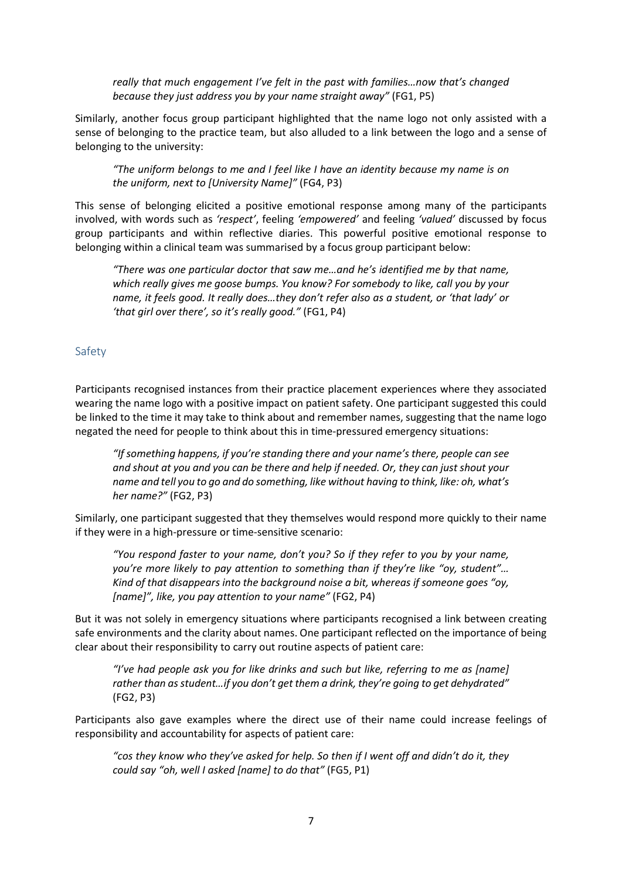*really that much engagement I've felt in the past with families…now that's changed because they just address you by your name straight away"* (FG1, P5)

Similarly, another focus group participant highlighted that the name logo not only assisted with a sense of belonging to the practice team, but also alluded to a link between the logo and a sense of belonging to the university:

*"The uniform belongs to me and I feel like I have an identity because my name is on the uniform, next to [University Name]"* (FG4, P3)

This sense of belonging elicited a positive emotional response among many of the participants involved, with words such as *'respect'*, feeling *'empowered'* and feeling *'valued'* discussed by focus group participants and within reflective diaries. This powerful positive emotional response to belonging within a clinical team was summarised by a focus group participant below:

*"There was one particular doctor that saw me…and he's identified me by that name, which really gives me goose bumps. You know? For somebody to like, call you by your name, it feels good. It really does…they don't refer also as a student, or 'that lady' or 'that girl over there', so it's really good."* (FG1, P4)

#### Safety

Participants recognised instances from their practice placement experiences where they associated wearing the name logo with a positive impact on patient safety. One participant suggested this could be linked to the time it may take to think about and remember names, suggesting that the name logo negated the need for people to think about this in time-pressured emergency situations:

*"If something happens, if you're standing there and your name's there, people can see and shout at you and you can be there and help if needed. Or, they can just shout your name and tell you to go and do something, like without having to think, like: oh, what's her name?"* (FG2, P3)

Similarly, one participant suggested that they themselves would respond more quickly to their name if they were in a high-pressure or time-sensitive scenario:

*"You respond faster to your name, don't you? So if they refer to you by your name, you're more likely to pay attention to something than if they're like "oy, student"… Kind of that disappears into the background noise a bit, whereas if someone goes "oy, [name]", like, you pay attention to your name"* (FG2, P4)

But it was not solely in emergency situations where participants recognised a link between creating safe environments and the clarity about names. One participant reflected on the importance of being clear about their responsibility to carry out routine aspects of patient care:

*"I've had people ask you for like drinks and such but like, referring to me as [name] rather than as student…if you don't get them a drink, they're going to get dehydrated"* (FG2, P3)

Participants also gave examples where the direct use of their name could increase feelings of responsibility and accountability for aspects of patient care:

*"cos they know who they've asked for help. So then if I went off and didn't do it, they could say "oh, well I asked [name] to do that"* (FG5, P1)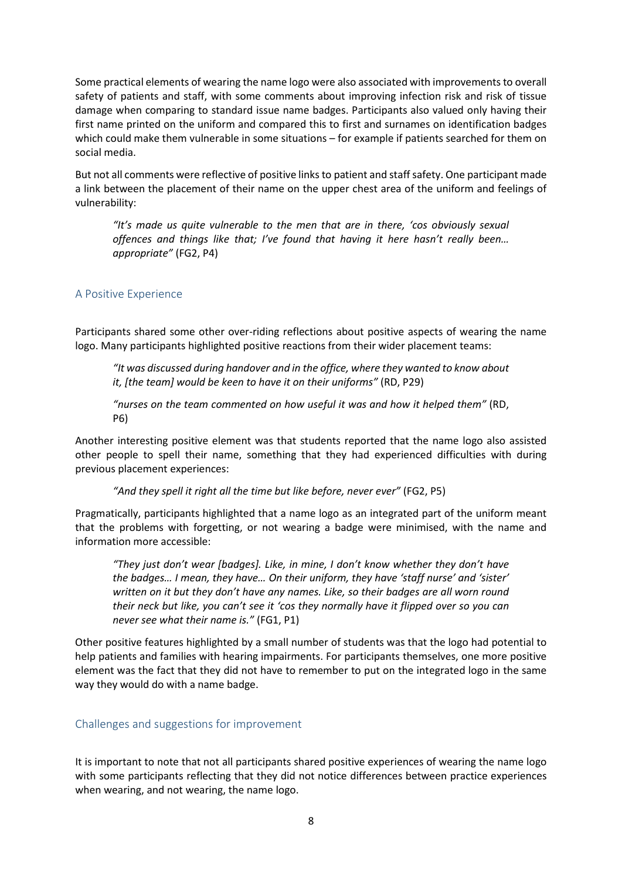Some practical elements of wearing the name logo were also associated with improvements to overall safety of patients and staff, with some comments about improving infection risk and risk of tissue damage when comparing to standard issue name badges. Participants also valued only having their first name printed on the uniform and compared this to first and surnames on identification badges which could make them vulnerable in some situations – for example if patients searched for them on social media.

But not all comments were reflective of positive links to patient and staff safety. One participant made a link between the placement of their name on the upper chest area of the uniform and feelings of vulnerability:

*"It's made us quite vulnerable to the men that are in there, 'cos obviously sexual offences and things like that; I've found that having it here hasn't really been… appropriate"* (FG2, P4)

## A Positive Experience

Participants shared some other over-riding reflections about positive aspects of wearing the name logo. Many participants highlighted positive reactions from their wider placement teams:

*"It was discussed during handover and in the office, where they wanted to know about it, [the team] would be keen to have it on their uniforms"* (RD, P29)

*"nurses on the team commented on how useful it was and how it helped them"* (RD, P6)

Another interesting positive element was that students reported that the name logo also assisted other people to spell their name, something that they had experienced difficulties with during previous placement experiences:

*"And they spell it right all the time but like before, never ever"* (FG2, P5)

Pragmatically, participants highlighted that a name logo as an integrated part of the uniform meant that the problems with forgetting, or not wearing a badge were minimised, with the name and information more accessible:

*"They just don't wear [badges]. Like, in mine, I don't know whether they don't have the badges… I mean, they have… On their uniform, they have 'staff nurse' and 'sister' written on it but they don't have any names. Like, so their badges are all worn round their neck but like, you can't see it 'cos they normally have it flipped over so you can never see what their name is."* (FG1, P1)

Other positive features highlighted by a small number of students was that the logo had potential to help patients and families with hearing impairments. For participants themselves, one more positive element was the fact that they did not have to remember to put on the integrated logo in the same way they would do with a name badge.

## Challenges and suggestions for improvement

It is important to note that not all participants shared positive experiences of wearing the name logo with some participants reflecting that they did not notice differences between practice experiences when wearing, and not wearing, the name logo.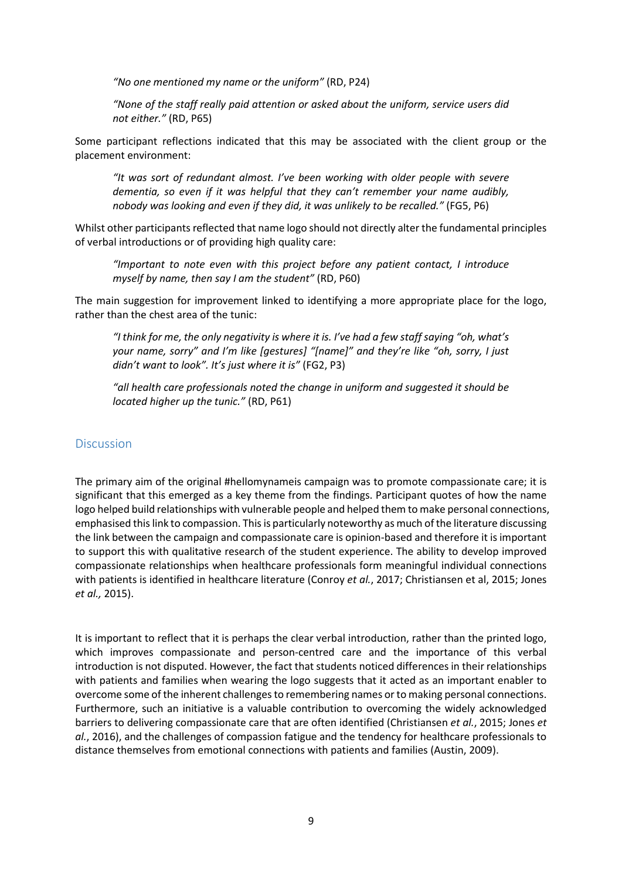*"No one mentioned my name or the uniform"* (RD, P24)

*"None of the staff really paid attention or asked about the uniform, service users did not either."* (RD, P65)

Some participant reflections indicated that this may be associated with the client group or the placement environment:

*"It was sort of redundant almost. I've been working with older people with severe dementia, so even if it was helpful that they can't remember your name audibly, nobody was looking and even if they did, it was unlikely to be recalled."* (FG5, P6)

Whilst other participants reflected that name logo should not directly alter the fundamental principles of verbal introductions or of providing high quality care:

*"Important to note even with this project before any patient contact, I introduce myself by name, then say I am the student"* (RD, P60)

The main suggestion for improvement linked to identifying a more appropriate place for the logo, rather than the chest area of the tunic:

*"I think for me, the only negativity is where it is. I've had a few staff saying "oh, what's your name, sorry" and I'm like [gestures] "[name]" and they're like "oh, sorry, I just didn't want to look". It's just where it is"* (FG2, P3)

*"all health care professionals noted the change in uniform and suggested it should be located higher up the tunic."* (RD, P61)

#### **Discussion**

The primary aim of the original #hellomynameis campaign was to promote compassionate care; it is significant that this emerged as a key theme from the findings. Participant quotes of how the name logo helped build relationships with vulnerable people and helped them to make personal connections, emphasised this link to compassion. This is particularly noteworthy as much of the literature discussing the link between the campaign and compassionate care is opinion-based and therefore it is important to support this with qualitative research of the student experience. The ability to develop improved compassionate relationships when healthcare professionals form meaningful individual connections with patients is identified in healthcare literature (Conroy *et al.*, 2017; Christiansen et al, 2015; Jones *et al.,* 2015).

It is important to reflect that it is perhaps the clear verbal introduction, rather than the printed logo, which improves compassionate and person-centred care and the importance of this verbal introduction is not disputed. However, the fact that students noticed differences in their relationships with patients and families when wearing the logo suggests that it acted as an important enabler to overcome some of the inherent challenges to remembering names or to making personal connections. Furthermore, such an initiative is a valuable contribution to overcoming the widely acknowledged barriers to delivering compassionate care that are often identified (Christiansen *et al.*, 2015; Jones *et al.*, 2016), and the challenges of compassion fatigue and the tendency for healthcare professionals to distance themselves from emotional connections with patients and families (Austin, 2009).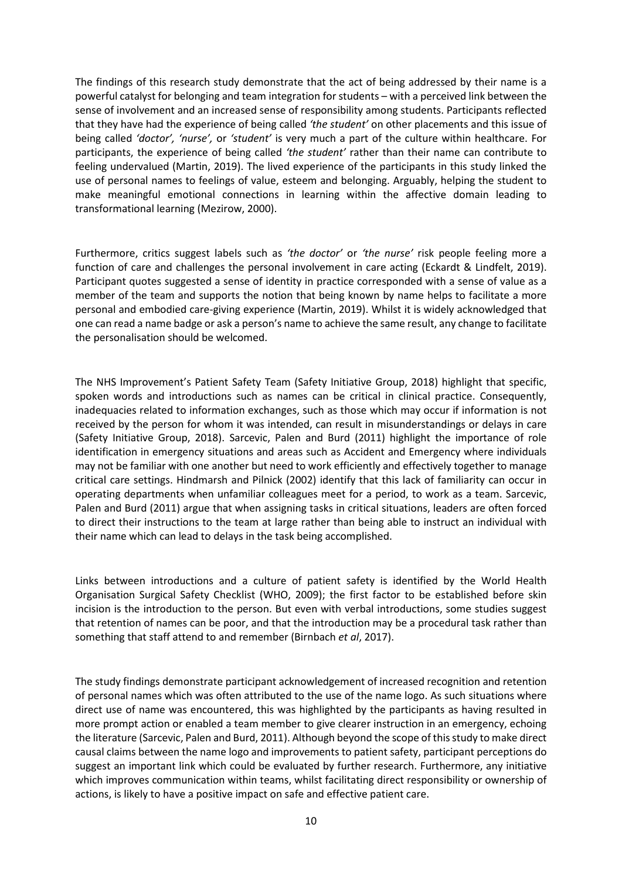The findings of this research study demonstrate that the act of being addressed by their name is a powerful catalyst for belonging and team integration for students – with a perceived link between the sense of involvement and an increased sense of responsibility among students. Participants reflected that they have had the experience of being called *'the student'* on other placements and this issue of being called *'doctor', 'nurse',* or *'student'* is very much a part of the culture within healthcare. For participants, the experience of being called *'the student'* rather than their name can contribute to feeling undervalued (Martin, 2019). The lived experience of the participants in this study linked the use of personal names to feelings of value, esteem and belonging. Arguably, helping the student to make meaningful emotional connections in learning within the affective domain leading to transformational learning (Mezirow, 2000).

Furthermore, critics suggest labels such as *'the doctor'* or *'the nurse'* risk people feeling more a function of care and challenges the personal involvement in care acting (Eckardt & Lindfelt, 2019). Participant quotes suggested a sense of identity in practice corresponded with a sense of value as a member of the team and supports the notion that being known by name helps to facilitate a more personal and embodied care-giving experience (Martin, 2019). Whilst it is widely acknowledged that one can read a name badge or ask a person's name to achieve the same result, any change to facilitate the personalisation should be welcomed.

The NHS Improvement's Patient Safety Team (Safety Initiative Group, 2018) highlight that specific, spoken words and introductions such as names can be critical in clinical practice. Consequently, inadequacies related to information exchanges, such as those which may occur if information is not received by the person for whom it was intended, can result in misunderstandings or delays in care (Safety Initiative Group, 2018). Sarcevic, Palen and Burd (2011) highlight the importance of role identification in emergency situations and areas such as Accident and Emergency where individuals may not be familiar with one another but need to work efficiently and effectively together to manage critical care settings. Hindmarsh and Pilnick (2002) identify that this lack of familiarity can occur in operating departments when unfamiliar colleagues meet for a period, to work as a team. Sarcevic, Palen and Burd (2011) argue that when assigning tasks in critical situations, leaders are often forced to direct their instructions to the team at large rather than being able to instruct an individual with their name which can lead to delays in the task being accomplished.

Links between introductions and a culture of patient safety is identified by the World Health Organisation Surgical Safety Checklist (WHO, 2009); the first factor to be established before skin incision is the introduction to the person. But even with verbal introductions, some studies suggest that retention of names can be poor, and that the introduction may be a procedural task rather than something that staff attend to and remember (Birnbach *et al*, 2017).

The study findings demonstrate participant acknowledgement of increased recognition and retention of personal names which was often attributed to the use of the name logo. As such situations where direct use of name was encountered, this was highlighted by the participants as having resulted in more prompt action or enabled a team member to give clearer instruction in an emergency, echoing the literature (Sarcevic, Palen and Burd, 2011). Although beyond the scope of this study to make direct causal claims between the name logo and improvements to patient safety, participant perceptions do suggest an important link which could be evaluated by further research. Furthermore, any initiative which improves communication within teams, whilst facilitating direct responsibility or ownership of actions, is likely to have a positive impact on safe and effective patient care.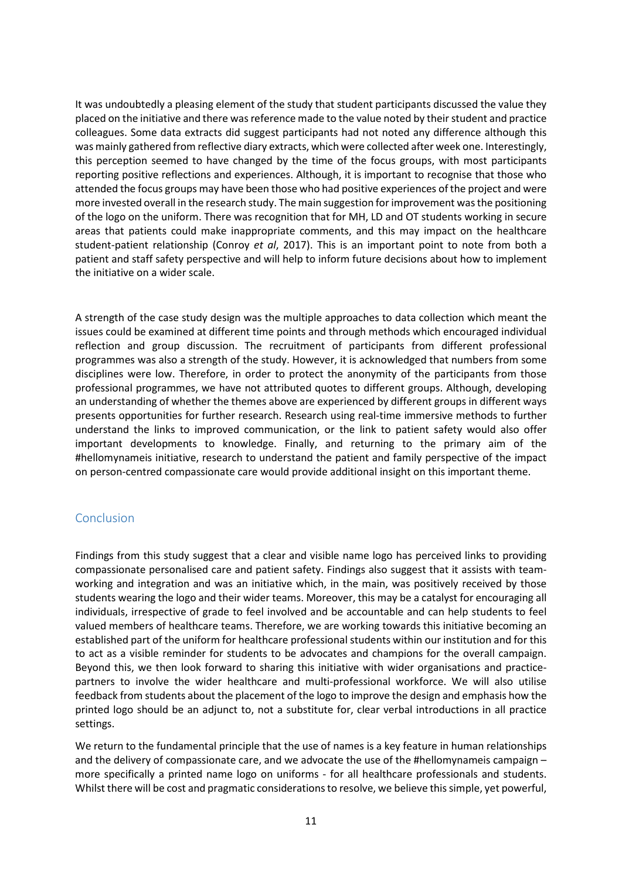It was undoubtedly a pleasing element of the study that student participants discussed the value they placed on the initiative and there was reference made to the value noted by their student and practice colleagues. Some data extracts did suggest participants had not noted any difference although this was mainly gathered from reflective diary extracts, which were collected after week one. Interestingly, this perception seemed to have changed by the time of the focus groups, with most participants reporting positive reflections and experiences. Although, it is important to recognise that those who attended the focus groups may have been those who had positive experiences of the project and were more invested overall in the research study. The main suggestion for improvement was the positioning of the logo on the uniform. There was recognition that for MH, LD and OT students working in secure areas that patients could make inappropriate comments, and this may impact on the healthcare student-patient relationship (Conroy *et al*, 2017). This is an important point to note from both a patient and staff safety perspective and will help to inform future decisions about how to implement the initiative on a wider scale.

A strength of the case study design was the multiple approaches to data collection which meant the issues could be examined at different time points and through methods which encouraged individual reflection and group discussion. The recruitment of participants from different professional programmes was also a strength of the study. However, it is acknowledged that numbers from some disciplines were low. Therefore, in order to protect the anonymity of the participants from those professional programmes, we have not attributed quotes to different groups. Although, developing an understanding of whether the themes above are experienced by different groups in different ways presents opportunities for further research. Research using real-time immersive methods to further understand the links to improved communication, or the link to patient safety would also offer important developments to knowledge. Finally, and returning to the primary aim of the #hellomynameis initiative, research to understand the patient and family perspective of the impact on person-centred compassionate care would provide additional insight on this important theme.

#### Conclusion

Findings from this study suggest that a clear and visible name logo has perceived links to providing compassionate personalised care and patient safety. Findings also suggest that it assists with teamworking and integration and was an initiative which, in the main, was positively received by those students wearing the logo and their wider teams. Moreover, this may be a catalyst for encouraging all individuals, irrespective of grade to feel involved and be accountable and can help students to feel valued members of healthcare teams. Therefore, we are working towards this initiative becoming an established part of the uniform for healthcare professional students within our institution and for this to act as a visible reminder for students to be advocates and champions for the overall campaign. Beyond this, we then look forward to sharing this initiative with wider organisations and practicepartners to involve the wider healthcare and multi-professional workforce. We will also utilise feedback from students about the placement of the logo to improve the design and emphasis how the printed logo should be an adjunct to, not a substitute for, clear verbal introductions in all practice settings.

We return to the fundamental principle that the use of names is a key feature in human relationships and the delivery of compassionate care, and we advocate the use of the #hellomynameis campaign – more specifically a printed name logo on uniforms - for all healthcare professionals and students. Whilst there will be cost and pragmatic considerations to resolve, we believe this simple, yet powerful,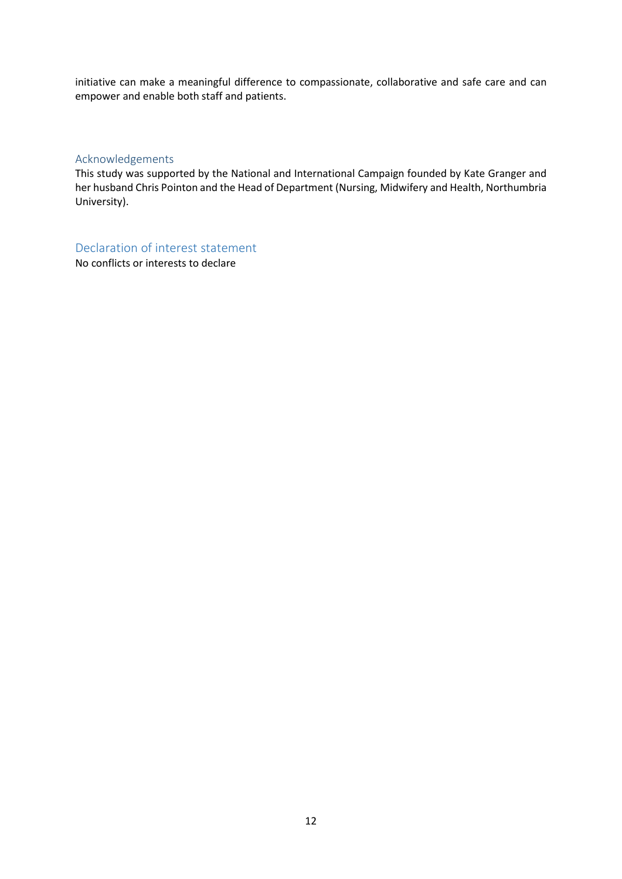initiative can make a meaningful difference to compassionate, collaborative and safe care and can empower and enable both staff and patients.

#### Acknowledgements

This study was supported by the National and International Campaign founded by Kate Granger and her husband Chris Pointon and the Head of Department (Nursing, Midwifery and Health, Northumbria University).

Declaration of interest statement

No conflicts or interests to declare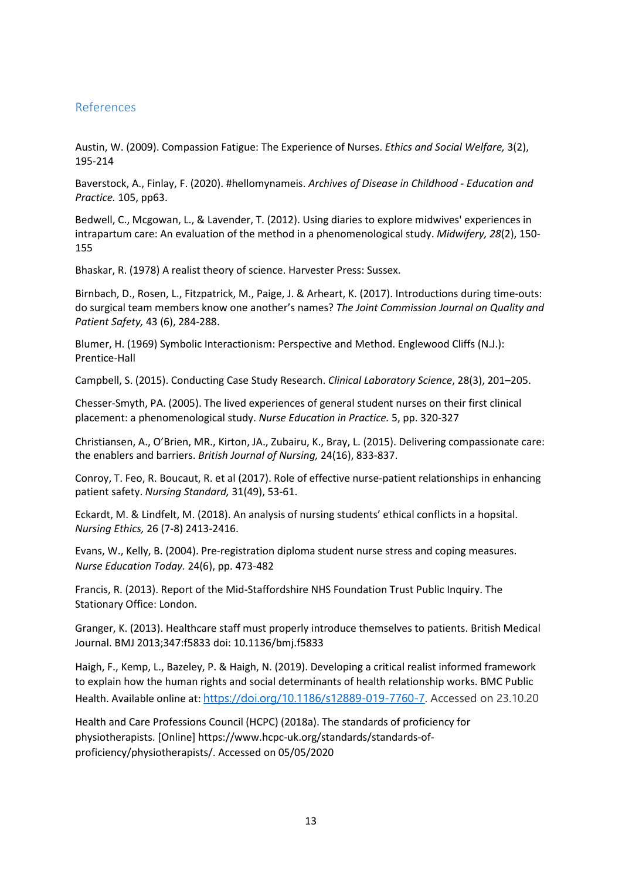## References

Austin, W. (2009). Compassion Fatigue: The Experience of Nurses. *Ethics and Social Welfare,* 3(2), 195-214

Baverstock, A., Finlay, F. (2020). #hellomynameis. *Archives of Disease in Childhood - Education and Practice.* 105, pp63.

Bedwell, C., Mcgowan, L., & Lavender, T. (2012). Using diaries to explore midwives' experiences in intrapartum care: An evaluation of the method in a phenomenological study. *Midwifery, 28*(2), 150- 155

Bhaskar, R. (1978) A realist theory of science. Harvester Press: Sussex.

Birnbach, D., Rosen, L., Fitzpatrick, M., Paige, J. & Arheart, K. (2017). Introductions during time-outs: do surgical team members know one another's names? *The Joint Commission Journal on Quality and Patient Safety,* 43 (6), 284-288.

Blumer, H. (1969) Symbolic Interactionism: Perspective and Method. Englewood Cliffs (N.J.): Prentice-Hall

Campbell, S. (2015). Conducting Case Study Research. *Clinical Laboratory Science*, 28(3), 201–205.

Chesser-Smyth, PA. (2005). The lived experiences of general student nurses on their first clinical placement: a phenomenological study. *Nurse Education in Practice.* 5, pp. 320-327

Christiansen, A., O'Brien, MR., Kirton, JA., Zubairu, K., Bray, L. (2015). Delivering compassionate care: the enablers and barriers. *British Journal of Nursing,* 24(16), 833-837.

Conroy, T. Feo, R. Boucaut, R. et al (2017). Role of effective nurse-patient relationships in enhancing patient safety. *Nursing Standard,* 31(49), 53-61.

Eckardt, M. & Lindfelt, M. (2018). An analysis of nursing students' ethical conflicts in a hopsital. *Nursing Ethics,* 26 (7-8) 2413-2416.

[Evans, W., Kelly, B. \(2004\)](https://www.sciencedirect.com/science/article/pii/S0260691711001195#bbb0055). Pre-registration diploma student nurse stress and coping measures. *Nurse Education Today.* 24(6), pp. 473-482

Francis, R. (2013). Report of the Mid-Staffordshire NHS Foundation Trust Public Inquiry. The Stationary Office: London.

Granger, K. (2013). Healthcare staff must properly introduce themselves to patients. British Medical Journal. BMJ 2013;347:f5833 doi: 10.1136/bmj.f5833

Haigh, F., Kemp, L., Bazeley, P. & Haigh, N. (2019). Developing a critical realist informed framework to explain how the human rights and social determinants of health relationship works. BMC Public Health. Available online at: [https://doi.org/10.1186/s12889-019-7760-7.](https://doi.org/10.1186/s12889-019-7760-7) Accessed on 23.10.20

Health and Care Professions Council (HCPC) (2018a). The standards of proficiency for physiotherapists. [Online] https://www.hcpc-uk.org/standards/standards-ofproficiency/physiotherapists/. Accessed on 05/05/2020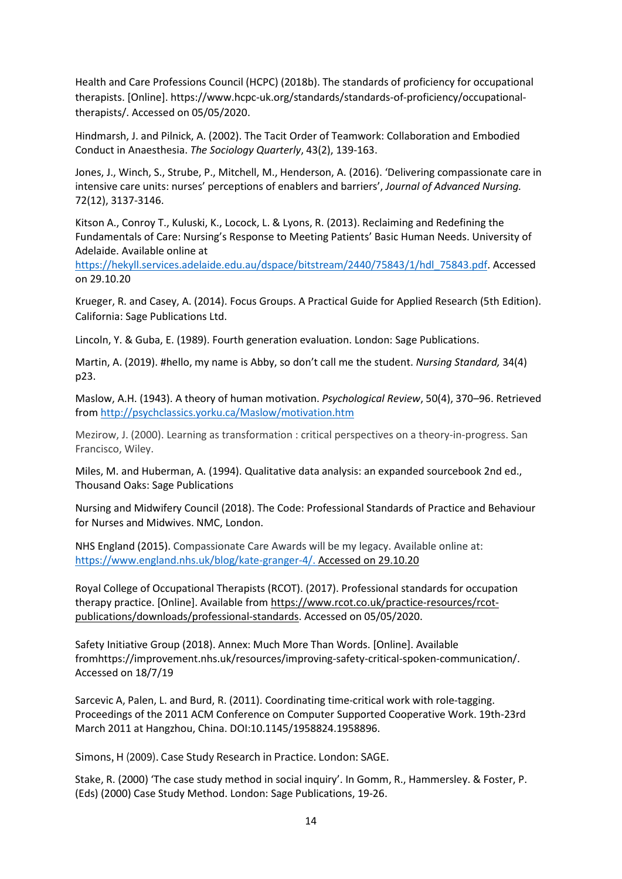Health and Care Professions Council (HCPC) (2018b). The standards of proficiency for occupational therapists. [Online]. https://www.hcpc-uk.org/standards/standards-of-proficiency/occupationaltherapists/. Accessed on 05/05/2020.

Hindmarsh, J. and Pilnick, A. (2002). The Tacit Order of Teamwork: Collaboration and Embodied Conduct in Anaesthesia. *The Sociology Quarterly*, 43(2), 139-163.

Jones, J., Winch, S., Strube, P., Mitchell, M., Henderson, A. (2016). 'Delivering compassionate care in intensive care units: nurses' perceptions of enablers and barriers', *Journal of Advanced Nursing.*  72(12), 3137-3146.

Kitson A., Conroy T., Kuluski, K., Locock, L. & Lyons, R. (2013). Reclaiming and Redefining the Fundamentals of Care: Nursing's Response to Meeting Patients' Basic Human Needs. University of Adelaide. Available online at

[https://hekyll.services.adelaide.edu.au/dspace/bitstream/2440/75843/1/hdl\\_75843.pdf.](https://hekyll.services.adelaide.edu.au/dspace/bitstream/2440/75843/1/hdl_75843.pdf) Accessed on 29.10.20

Krueger, R. and Casey, A. (2014). Focus Groups. A Practical Guide for Applied Research (5th Edition). California: Sage Publications Ltd.

Lincoln, Y. & Guba, E. (1989). Fourth generation evaluation. London: Sage Publications.

Martin, A. (2019). #hello, my name is Abby, so don't call me the student. *Nursing Standard,* 34(4) p23.

Maslow, A.H. (1943). A theory of human motivation. *Psychological Review*, 50(4), 370–96. Retrieved from<http://psychclassics.yorku.ca/Maslow/motivation.htm>

Mezirow, J. (2000). Learning as transformation : critical perspectives on a theory-in-progress. San Francisco, Wiley.

Miles, M. and Huberman, A. (1994). Qualitative data analysis: an expanded sourcebook 2nd ed., Thousand Oaks: Sage Publications

Nursing and Midwifery Council (2018). The Code: Professional Standards of Practice and Behaviour for Nurses and Midwives. NMC, London.

NHS England (2015). Compassionate Care Awards will be my legacy. Available online at: [https://www.england.nhs.uk/blog/kate-granger-4/.](https://www.england.nhs.uk/blog/kate-granger-4/) Accessed on 29.10.20

Royal College of Occupational Therapists (RCOT). (2017). Professional standards for occupation therapy practice. [Online]. Available from [https://www.rcot.co.uk/practice-resources/rcot](https://www.rcot.co.uk/practice-resources/rcot-publications/downloads/professional-standards)[publications/downloads/professional-standards.](https://www.rcot.co.uk/practice-resources/rcot-publications/downloads/professional-standards) Accessed on 05/05/2020.

Safety Initiative Group (2018). Annex: Much More Than Words. [Online]. Available fromhttps://improvement.nhs.uk/resources/improving-safety-critical-spoken-communication/. Accessed on 18/7/19

Sarcevic A, Palen, L. and Burd, R. (2011). Coordinating time-critical work with role-tagging. Proceedings of the 2011 ACM Conference on Computer Supported Cooperative Work. 19th-23rd March 2011 at Hangzhou, China. DOI:10.1145/1958824.1958896.

Simons, H (2009). Case Study Research in Practice. London: SAGE.

Stake, R. (2000) 'The case study method in social inquiry'. In Gomm, R., Hammersley. & Foster, P. (Eds) (2000) Case Study Method. London: Sage Publications, 19-26.